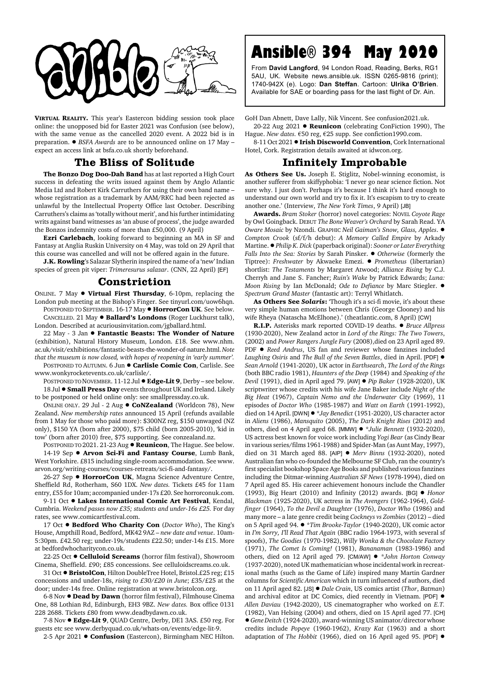

**VIRTUAL REALITY.** This year's Eastercon bidding session took place online: the unopposed bid for Easter 2021 was Confusion (see below), with the same venue as the cancelled 2020 event. A 2022 bid is in preparation. ! *BSFA Awards* are to be announced online on 17 May – expect an access link at bsfa.co.uk shortly beforehand.

## **The Bliss of Solitude**

**The Bonzo Dog Doo-Dah Band** has at last reported a High Court success in defeating the writs issued against them by Anglo Atlantic Media Ltd and Robert Kirk Carruthers for using their own band name – whose registration as a trademark by AAM/RKC had been rejected as unlawful by the Intellectual Property Office last October. Describing Carruthers's claims as 'totally without merit', and his further intimidating writs against band witnesses as 'an abuse of process', the judge awarded the Bonzos indemnity costs of more than £50,000. (9 April)

**Ezri Carlebach**, looking forward to beginning an MA in SF and Fantasy at Anglia Ruskin University on 4 May, was told on 29 April that this course was cancelled and will not be offered again in the future.

**J.K. Rowling**'s Salazar Slytherin inspired the name of a 'new' Indian species of green pit viper: *Trimeresurus salazar*. (CNN, 22 April) [EF]

## **Constriction**

ONLINE. 7 May ! **Virtual First Thursday**, 6-10pm, replacing the London pub meeting at the Bishop's Finger. See tinyurl.com/uow6hqn.

POSTPONED TO SEPTEMBER. 16-17 May  $\bullet$  **HorrorCon UK**. See below. CANCELLED. 21 May ! **Ballard's Londons** (Roger Luckhurst talk), London. Described at acuriousinvitation.com/jgballard.html.

22 May - 3 Jan ! **Fantastic Beasts: The Wonder of Nature** (exhibition), Natural History Museum, London. £18. See www.nhm. ac.uk/visit/exhibitions/fantastic-beasts-the-wonder-of-nature.html. *Note that the museum is now closed, with hopes of reopening in 'early summer'.*

POSTPONED TO AUTUMN. 6 Jun  $\bullet$  **Carlisle Comic Con**, Carlisle. See www.wonkyrocketevents.co.uk/carlisle/.

POSTPONED TO NOVEMBER. 11-12 Jul ● **Edge-Lit 9**, Derby – see below. 18 Jul ! **Small Press Day** events throughout UK and Ireland. Likely to be postponed or held online only: see smallpressday.co.uk.

ONLINE ONLY. 29 Jul - 2 Aug ! **CoNZealand** (Worldcon 78), New Zealand. *New membership rates* announced 15 April (refunds available from 1 May for those who paid more): \$300NZ reg, \$150 unwaged (NZ only), \$150 YA (born after 2000), \$75 child (born 2005-2010), 'kid in tow' (born after 2010) free, \$75 supporting. See conzealand.nz.

POSTPONED TO 2021. 21-23 Aug  $\bullet$  **Reunicon**, The Hague. See below. 14-19 Sep  $\bullet$  Arvon Sci-Fi and Fantasy Course, Lumb Bank, West Yorkshire. £815 including single-room accommodation. See www. arvon.org/writing-courses/courses-retreats/sci-fi-and-fantasy/.

26-27 Sep ● HorrorCon UK, Magna Science Adventure Centre, Sheffield Rd, Rotherham, S60 1DX. *New dates.* Tickets £45 for 11am entry, £55 for 10am; accompanied under-17s £20. See horrorconuk.com.

9-11 Oct  $\bullet$  Lakes International Comic Art Festival, Kendal, Cumbria. *Weekend passes now £35; students and under-16s £25.* For day rates, see www.comicartfestival.com.

17 Oct  $\bullet$  **Bedford Who Charity Con** (*Doctor Who*), The King's House, Ampthill Road, Bedford, MK42 9AZ – *new date and venue*. 10am-5:30pm. £42.50 reg; under-19s/students £22.50; under-14s £15. More at bedfordwhocharitycon.co.uk.

22-25 Oct ! **Celluloid Screams** (horror film festival), Showroom Cinema, Sheffield. £90; £85 concessions. See celluloidscreams.co.uk.

31 Oct ● **BristolCon**, Hilton DoubleTree Hotel, Bristol.£25 reg; £15 concessions and under-18s, *rising to £30/£20 in June*; £35/£25 at the door; under-14s free. Online registration at www.bristolcon.org.

6-8 Nov ! **Dead by Dawn** (horror film festival), Filmhouse Cinema One, 88 Lothian Rd, Edinburgh, EH3 9BZ. *New dates.* Box office 0131 228 2688. Tickets £80 from www.deadbydawn.co.uk.

7-8 Nov ! **Edge-Lit 9**, QUAD Centre, Derby, DE1 3AS. £50 reg. For guests etc see www.derbyquad.co.uk/whats-on/events/edge-lit-9.

2-5 Apr 2021 . Confusion (Eastercon), Birmingham NEC Hilton.

## **Ansible® 394 May 2020**

From **David Langford**, 94 London Road, Reading, Berks, RG1 5AU, UK. Website news.ansible.uk. ISSN 0265-9816 (print); 1740-942X (e). Logo: **Dan Steffan**. Cartoon: **Ulrika O'Brien**. Available for SAE or boarding pass for the last flight of Dr. Ain.

GoH Dan Abnett, Dave Lally, Nik Vincent. See confusion2021.uk. 20-22 Aug 2021 . **Reunicon** (celebrating ConFiction 1990), The

Hague. *New dates.* €50 reg, €25 supp. See confiction1990.com.

8-11 Oct 2021 **. Irish Discworld Convention**, Cork International Hotel, Cork. Registration details awaited at idwcon.org.

## **Infinitely Improbable**

**As Others See Us.** Joseph E. Stiglitz, Nobel-winning economist, is another sufferer from skiffyphobia: 'I never go near science fiction. Not sure why. I just don't. Perhaps it's because I think it's hard enough to understand our own world and try to fix it. It's escapism to try to create another one.' (Interview, *The New York Times*, 9 April) [JB]

**Awards.** *Bram Stoker* (horror) novel categories: NOVEL *Coyote Rage* by Owl Goingback. DEBUT *The Bone Weaver's Orchard* by Sarah Read. YA *Oware Mosaic* by Nzondi. GRAPHIC *Neil Gaiman's Snow, Glass, Apples*. ! *Compton Crook* (sf/f/h debut): *A Memory Called Empire* by Arkady Martine. !*Philip K. Dick* (paperback original): *Sooner or Later Everything Falls Into the Sea: Stories* by Sarah Pinsker. ! *Otherwise* (formerly the Tiptree): *Freshwater* by Akwaeke Emezi. ! *Prometheus* (libertarian) shortlist: *The Testaments* by Margaret Atwood; *Alliance Rising* by C.J. Cherryh and Jane S. Fancher; *Ruin's Wake* by Patrick Edwards; *Luna: Moon Rising* by Ian McDonald; *Ode to Defiance* by Marc Stiegler. ! *Spectrum Grand Master* (fantastic art): Terryl Whitlatch.

**As Others See** *Solaris***:** 'Though it's a sci-fi movie, it's about these very simple human emotions between Chris (George Clooney) and his wife Rheya (Natascha McElhone).' (theatlantic.com, 8 April) [CW]

**R.I.P.** Asterisks mark reported COVID-19 deaths. ! *Bruce Allpress* (1930-2020), New Zealand actor in *Lord of the Rings: The Two Towers*, (2002) and *Power Rangers Jungle Fury* (2008),died on 23 April aged 89. PDF  $\bullet$  *Reed Andrus*, US fan and reviewer whose fanzines included *Laughing Osiris* and *The Bull of the Seven Battles*, died in April. [PDF] ! *Sean Arnold* (1941-2020), UK actor in *Earthsearch*, *The Lord of the Rings* (both BBC radio 1981), *Haunters of the Deep* (1984) and *Speaking of the Devil* (1991), died in April aged 79. [AW] ! *Pip Baker* (1928-2020), UK scriptwriter whose credits with his wife Jane Baker include *Night of the Big Heat* (1967), *Captain Nemo and the Underwater City* (1969), 11 episodes of *Doctor Who* (1985-1987) and *Watt on Earth* (1991-1992), died on 14 April. [DWN] ! \**Jay Benedict* (1951-2020), US character actor in *Aliens* (1986), *Mansquito* (2005), *The Dark Knight Rises* (2012) and others, died on 4 April aged 68. [MMW] ! \**Julie Bennett* (1932-2020), US actress best known for voice work including *Yogi Bear* (as Cindy Bear in various series/films 1961-1988) and Spider-Man (as Aunt May, 1997), died on 31 March aged 88. [AIP] ! *Merv Binns* (1932-2020), noted Australian fan who co-founded the Melbourne SF Club, ran the country's first specialist bookshop Space Age Books and published various fanzines including the Ditmar-winning *Australian SF News* (1978-1994), died on 7 April aged 85. His career achievement honours include the Chandler (1993), Big Heart (2010) and Infinity (2012) awards. [BG] ! *Honor Blackman* (1925-2020), UK actress in *The Avengers* (1962-1964), *Goldfinger* (1964), *To the Devil a Daughter* (1976), *Doctor Who* (1986) and many more – a late genre credit being *Cockneys vs Zombies* (2012) – died on 5 April aged 94. ! \**Tim Brooke-Taylor* (1940-2020), UK comic actor in *I'm Sorry, I'll Read That Again* (BBC radio 1964-1973, with several sf spoofs), *The Goodies* (1970-1982), *Willy Wonka & the Chocolate Factory* (1971), *The Comet Is Coming!* (1981), *Bananaman* (1983-1986) and others, died on 12 April aged 79. [CM/AW] ! \**John Horton Conway* (1937-2020), noted UK mathematician whose incidental work in recreational maths (such as the Game of Life) inspired many Martin Gardner columns for *Scientific American* which in turn influenced sf authors, died on 11 April aged 82. [JS] ! *Dale Crain*, US comics artist (*Thor*, *Batman*) and archival editor at DC Comics, died recently in Vietnam. [PDF]  $\bullet$ *Allen Daviau* (1942-2020), US cinematographer who worked on *E.T.* (1982), Van Helsing (2004) and others, died on 15 April aged 77. [CH] !*Gene Deitch* (1924-2020), award-winning US animator/director whose credits include *Popeye* (1960-1962), *Krazy Kat* (1963) and a short adaptation of *The Hobbit* (1966), died on 16 April aged 95. [PDF] !